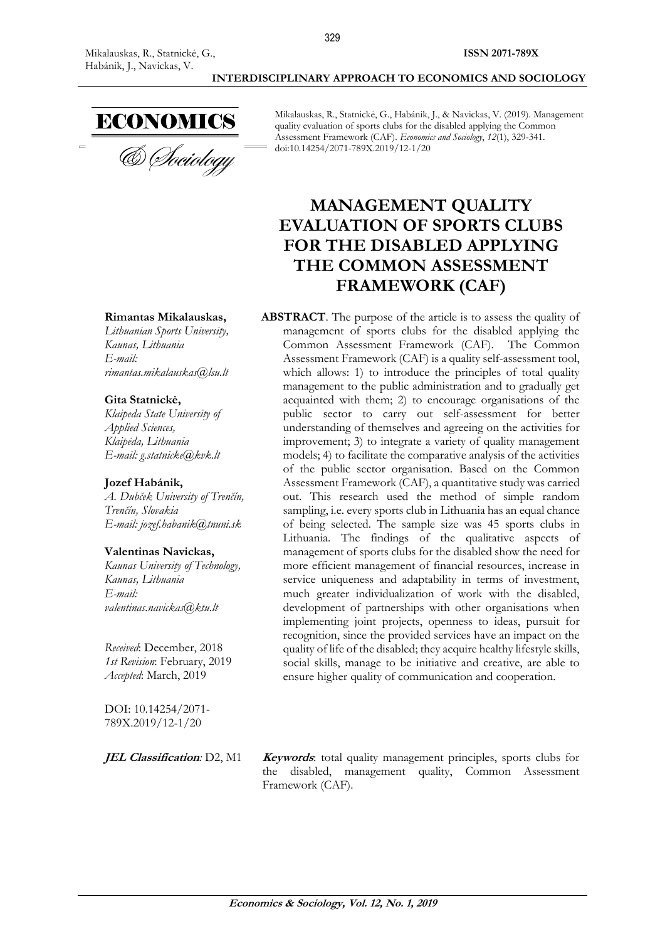

Mikalauskas, R., Statnickė, G., Habánik, J., & Navickas, V. (2019). Management quality evaluation of sports clubs for the disabled applying the Common Assessment Framework (CAF). *Economics and Sociology*, *12*(1), 329-341. doi:10.14254/2071-789X.2019/12-1/20

# **MANAGEMENT QUALITY EVALUATION OF SPORTS CLUBS FOR THE DISABLED APPLYING THE COMMON ASSESSMENT FRAMEWORK (CAF)**

**ABSTRACT**. The purpose of the article is to assess the quality of management of sports clubs for the disabled applying the Common Assessment Framework (CAF). The Common Assessment Framework (CAF) is a quality self-assessment tool, which allows: 1) to introduce the principles of total quality management to the public administration and to gradually get acquainted with them; 2) to encourage organisations of the public sector to carry out self-assessment for better understanding of themselves and agreeing on the activities for improvement; 3) to integrate a variety of quality management models; 4) to facilitate the comparative analysis of the activities of the public sector organisation. Based on the Common Assessment Framework (CAF), a quantitative study was carried out. This research used the method of simple random sampling, i.e. every sports club in Lithuania has an equal chance of being selected. The sample size was 45 sports clubs in Lithuania. The findings of the qualitative aspects of management of sports clubs for the disabled show the need for more efficient management of financial resources, increase in service uniqueness and adaptability in terms of investment, much greater individualization of work with the disabled, development of partnerships with other organisations when implementing joint projects, openness to ideas, pursuit for recognition, since the provided services have an impact on the quality of life of the disabled; they acquire healthy lifestyle skills, social skills, manage to be initiative and creative, are able to ensure higher quality of communication and cooperation.

### **Rimantas Mikalauskas,**

*Lithuanian Sports University, Kaunas, Lithuania E-mail: rimantas.mikalauskas@lsu.lt*

#### **Gita Statnickė,**

*Klaipeda State University of Applied Sciences, Klaipėda, Lithuania E-mail: g.statnicke@kvk.lt*

#### **Jozef Habánik,**

*A. Dubček University of Trenčín, Trenčín, Slovakia E-mail: jozef.habanik@tnuni.sk*

#### **Valentinas Navickas,**

*Kaunas University of Technology, [Kaunas,](https://en.wikipedia.org/wiki/Podgorica) Lithuania E-mail: valentinas.navickas@ktu.lt*

*Received*: December, 2018 *1st Revision*: February, 2019 *Accepted*: March, 2019

DOI: 10.14254/2071- 789X.2019/12-1/20

**JEL Classification***:* D2, M1 **Keywords**: total quality management principles, sports clubs for the disabled, management quality, Common Assessment Framework (CAF).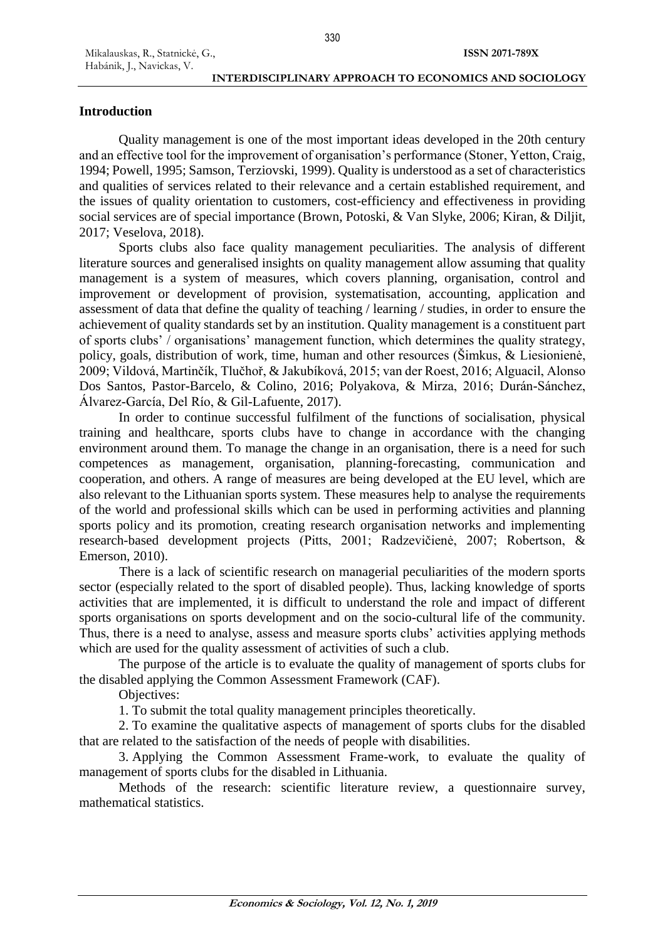### **INTERDISCIPLINARY APPROACH TO ECONOMICS AND SOCIOLOGY**

### **Introduction**

Quality management is one of the most important ideas developed in the 20th century and an effective tool for the improvement of organisation's performance (Stoner, Yetton, Craig, 1994; Powell, 1995; Samson, Terziovski, 1999). Quality is understood as a set of characteristics and qualities of services related to their relevance and a certain established requirement, and the issues of quality orientation to customers, cost-efficiency and effectiveness in providing social services are of special importance (Brown, Potoski, & Van Slyke, 2006; Kiran, & Diljit, 2017; Veselova, 2018).

330

Sports clubs also face quality management peculiarities. The analysis of different literature sources and generalised insights on quality management allow assuming that quality management is a system of measures, which covers planning, organisation, control and improvement or development of provision, systematisation, accounting, application and assessment of data that define the quality of teaching / learning / studies, in order to ensure the achievement of quality standards set by an institution. Quality management is a constituent part of sports clubs' / organisations' management function, which determines the quality strategy, policy, goals, distribution of work, time, human and other resources (Šimkus, & Liesionienė, 2009; Vildová, Martinčík, Tlučhoř, & Jakubíková, 2015; van der Roest, 2016; Alguacil, Alonso Dos Santos, Pastor-Barcelo, & Colino, 2016; Polyakova, & Mirza, 2016; Durán-Sánchez, Álvarez-García, Del Río, & Gil-Lafuente, 2017).

In order to continue successful fulfilment of the functions of socialisation, physical training and healthcare, sports clubs have to change in accordance with the changing environment around them. To manage the change in an organisation, there is a need for such competences as management, organisation, planning-forecasting, communication and cooperation, and others. A range of measures are being developed at the EU level, which are also relevant to the Lithuanian sports system. These measures help to analyse the requirements of the world and professional skills which can be used in performing activities and planning sports policy and its promotion, creating research organisation networks and implementing research-based development projects (Pitts, 2001; Radzevičienė, 2007; Robertson, & Emerson, 2010).

There is a lack of scientific research on managerial peculiarities of the modern sports sector (especially related to the sport of disabled people). Thus, lacking knowledge of sports activities that are implemented, it is difficult to understand the role and impact of different sports organisations on sports development and on the socio-cultural life of the community. Thus, there is a need to analyse, assess and measure sports clubs' activities applying methods which are used for the quality assessment of activities of such a club.

The purpose of the article is to evaluate the quality of management of sports clubs for the disabled applying the Common Assessment Framework (CAF).

Objectives:

1. To submit the total quality management principles theoretically.

2. To examine the qualitative aspects of management of sports clubs for the disabled that are related to the satisfaction of the needs of people with disabilities.

3. Applying the Common Assessment Frame-work, to evaluate the quality of management of sports clubs for the disabled in Lithuania.

Methods of the research: scientific literature review, a questionnaire survey, mathematical statistics.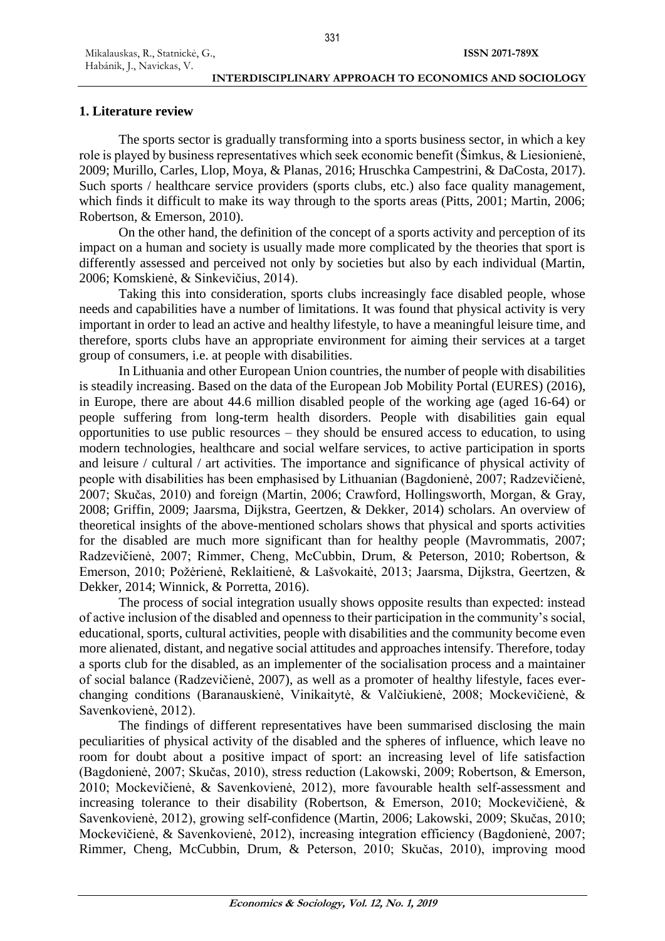# **1. Literature review**

Habánik, J., Navickas, V.

The sports sector is gradually transforming into a sports business sector, in which a key role is played by business representatives which seek economic benefit (Šimkus, & Liesionienė, 2009; Murillo, Carles, Llop, Moya, & Planas, 2016; Hruschka Campestrini, & DaCosta, 2017). Such sports / healthcare service providers (sports clubs, etc.) also face quality management, which finds it difficult to make its way through to the sports areas (Pitts, 2001; Martin, 2006; Robertson, & Emerson, 2010).

On the other hand, the definition of the concept of a sports activity and perception of its impact on a human and society is usually made more complicated by the theories that sport is differently assessed and perceived not only by societies but also by each individual (Martin, 2006; Komskienė, & Sinkevičius, 2014).

Taking this into consideration, sports clubs increasingly face disabled people, whose needs and capabilities have a number of limitations. It was found that physical activity is very important in order to lead an active and healthy lifestyle, to have a meaningful leisure time, and therefore, sports clubs have an appropriate environment for aiming their services at a target group of consumers, i.e. at people with disabilities.

In Lithuania and other European Union countries, the number of people with disabilities is steadily increasing. Based on the data of the European Job Mobility Portal (EURES) (2016), in Europe, there are about 44.6 million disabled people of the working age (aged 16-64) or people suffering from long-term health disorders. People with disabilities gain equal opportunities to use public resources – they should be ensured access to education, to using modern technologies, healthcare and social welfare services, to active participation in sports and leisure / cultural / art activities. The importance and significance of physical activity of people with disabilities has been emphasised by Lithuanian (Bagdonienė, 2007; Radzevičienė, 2007; Skučas, 2010) and foreign (Martin, 2006; Crawford, Hollingsworth, Morgan, & Gray, 2008; Griffin, 2009; Jaarsma, Dijkstra, Geertzen, & Dekker, 2014) scholars. An overview of theoretical insights of the above-mentioned scholars shows that physical and sports activities for the disabled are much more significant than for healthy people (Mavrommatis, 2007; Radzevičienė, 2007; Rimmer, Cheng, McCubbin, Drum, & Peterson, 2010; Robertson, & Emerson, 2010; Požėrienė, Reklaitienė, & Lašvokaitė, 2013; Jaarsma, Dijkstra, Geertzen, & Dekker, 2014; Winnick, & Porretta, 2016).

The process of social integration usually shows opposite results than expected: instead of active inclusion of the disabled and openness to their participation in the community's social, educational, sports, cultural activities, people with disabilities and the community become even more alienated, distant, and negative social attitudes and approaches intensify. Therefore, today a sports club for the disabled, as an implementer of the socialisation process and a maintainer of social balance (Radzevičienė, 2007), as well as a promoter of healthy lifestyle, faces everchanging conditions (Baranauskienė, Vinikaitytė, & Valčiukienė, 2008; Mockevičienė, & Savenkovienė, 2012).

The findings of different representatives have been summarised disclosing the main peculiarities of physical activity of the disabled and the spheres of influence, which leave no room for doubt about a positive impact of sport: an increasing level of life satisfaction (Bagdonienė, 2007; Skučas, 2010), stress reduction (Lakowski, 2009; Robertson, & Emerson, 2010; Mockevičienė, & Savenkovienė, 2012), more favourable health self-assessment and increasing tolerance to their disability (Robertson, & Emerson, 2010; Mockevičienė, & Savenkovienė, 2012), growing self-confidence (Martin, 2006; Lakowski, 2009; Skučas, 2010; Mockevičienė, & Savenkovienė, 2012), increasing integration efficiency (Bagdonienė, 2007; Rimmer, Cheng, McCubbin, Drum, & Peterson, 2010; Skučas, 2010), improving mood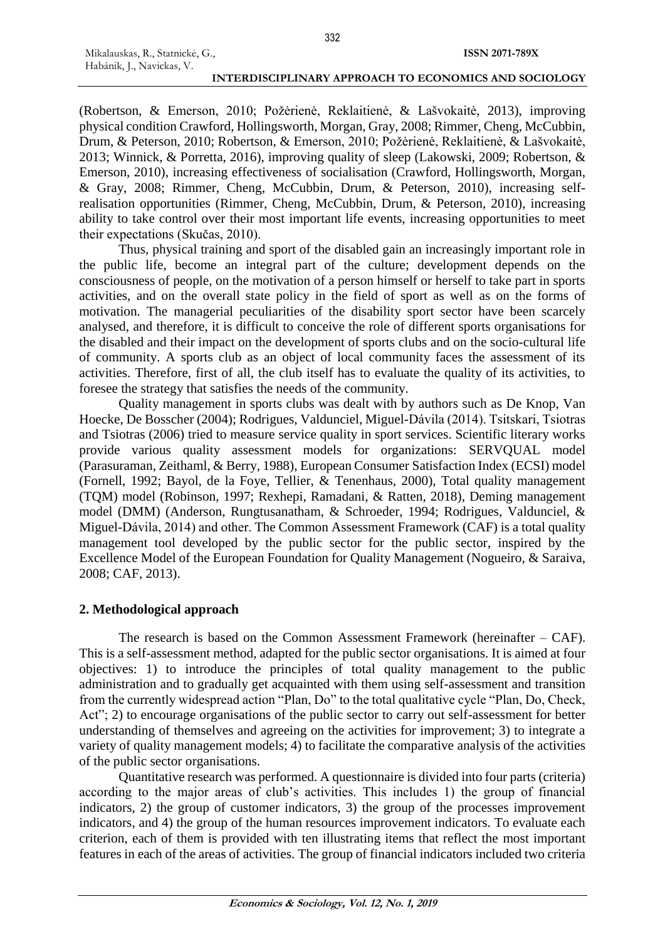(Robertson, & Emerson, 2010; Požėrienė, Reklaitienė, & Lašvokaitė, 2013), improving physical condition Crawford, Hollingsworth, Morgan, Gray, 2008; Rimmer, Cheng, McCubbin, Drum, & Peterson, 2010; Robertson, & Emerson, 2010; Požėrienė, Reklaitienė, & Lašvokaitė, 2013; Winnick, & Porretta, 2016), improving quality of sleep (Lakowski, 2009; Robertson, & Emerson, 2010), increasing effectiveness of socialisation (Crawford, Hollingsworth, Morgan, & Gray, 2008; Rimmer, Cheng, McCubbin, Drum, & Peterson, 2010), increasing selfrealisation opportunities (Rimmer, Cheng, McCubbin, Drum, & Peterson, 2010), increasing ability to take control over their most important life events, increasing opportunities to meet their expectations (Skučas, 2010).

Thus, physical training and sport of the disabled gain an increasingly important role in the public life, become an integral part of the culture; development depends on the consciousness of people, on the motivation of a person himself or herself to take part in sports activities, and on the overall state policy in the field of sport as well as on the forms of motivation. The managerial peculiarities of the disability sport sector have been scarcely analysed, and therefore, it is difficult to conceive the role of different sports organisations for the disabled and their impact on the development of sports clubs and on the socio-cultural life of community. A sports club as an object of local community faces the assessment of its activities. Therefore, first of all, the club itself has to evaluate the quality of its activities, to foresee the strategy that satisfies the needs of the community.

Quality management in sports clubs was dealt with by authors such as De Knop, Van Hoecke, De Bosscher (2004); Rodrigues, Valdunciel, Miguel-Dávila (2014). Tsitskari, Tsiotras and Tsiotras (2006) tried to measure service quality in sport services. Scientific literary works provide various quality assessment models for organizations: SERVQUAL model (Parasuraman, Zeithaml, & Berry, 1988), European Consumer Satisfaction Index (ECSI) model (Fornell, 1992; Bayol, de la Foye, Tellier, & Tenenhaus, 2000), Total quality management (TQM) model (Robinson, 1997; Rexhepi, Ramadani, & Ratten, 2018), Deming management model (DMM) (Anderson, Rungtusanatham, & Schroeder, 1994; Rodrigues, Valdunciel, & Miguel-Dávila, 2014) and other. The Common Assessment Framework (CAF) is a total quality management tool developed by the public sector for the public sector, inspired by the Excellence Model of the European Foundation for Quality Management (Nogueiro, & Saraiva, 2008; CAF, 2013).

### **2. Methodological approach**

The research is based on the Common Assessment Framework (hereinafter – CAF). This is a self-assessment method, adapted for the public sector organisations. It is aimed at four objectives: 1) to introduce the principles of total quality management to the public administration and to gradually get acquainted with them using self-assessment and transition from the currently widespread action "Plan, Do" to the total qualitative cycle "Plan, Do, Check, Act"; 2) to encourage organisations of the public sector to carry out self-assessment for better understanding of themselves and agreeing on the activities for improvement; 3) to integrate a variety of quality management models; 4) to facilitate the comparative analysis of the activities of the public sector organisations.

Quantitative research was performed. A questionnaire is divided into four parts (criteria) according to the major areas of club's activities. This includes 1) the group of financial indicators, 2) the group of customer indicators, 3) the group of the processes improvement indicators, and 4) the group of the human resources improvement indicators. To evaluate each criterion, each of them is provided with ten illustrating items that reflect the most important features in each of the areas of activities. The group of financial indicators included two criteria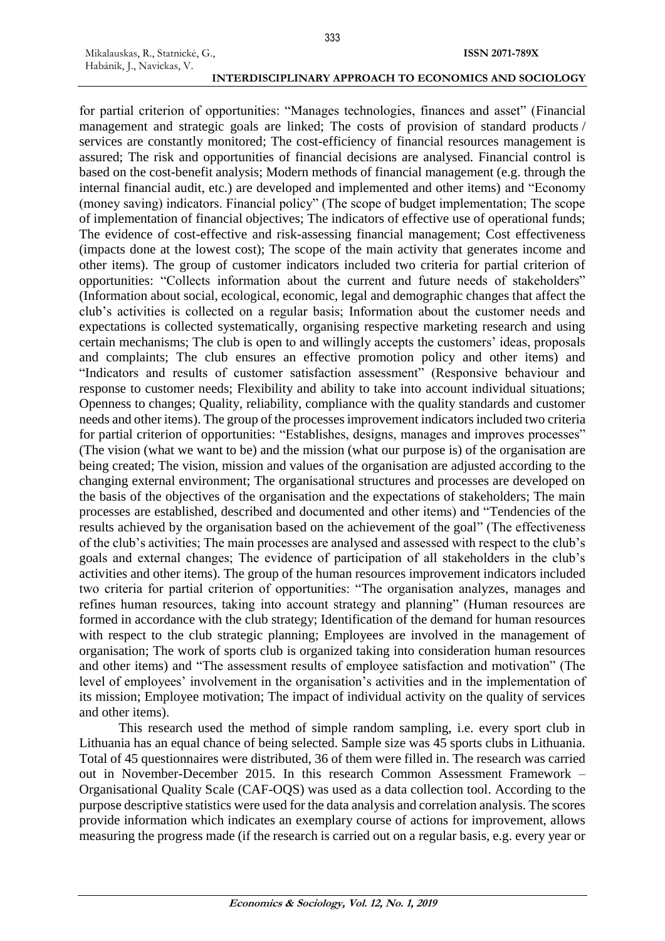Mikalauskas, R., Statnickė, G., Habánik, J., Navickas, V.

for partial criterion of opportunities: "Manages technologies, finances and asset" (Financial management and strategic goals are linked; The costs of provision of standard products / services are constantly monitored; The cost-efficiency of financial resources management is assured; The risk and opportunities of financial decisions are analysed. Financial control is based on the cost-benefit analysis; Modern methods of financial management (e.g. through the internal financial audit, etc.) are developed and implemented and other items) and "Economy (money saving) indicators. Financial policy" (The scope of budget implementation; The scope of implementation of financial objectives; The indicators of effective use of operational funds; The evidence of cost-effective and risk-assessing financial management; Cost effectiveness (impacts done at the lowest cost); The scope of the main activity that generates income and other items). The group of customer indicators included two criteria for partial criterion of opportunities: "Collects information about the current and future needs of stakeholders" (Information about social, ecological, economic, legal and demographic changes that affect the club's activities is collected on a regular basis; Information about the customer needs and expectations is collected systematically, organising respective marketing research and using certain mechanisms; The club is open to and willingly accepts the customers' ideas, proposals and complaints; The club ensures an effective promotion policy and other items) and "Indicators and results of customer satisfaction assessment" (Responsive behaviour and response to customer needs; Flexibility and ability to take into account individual situations; Openness to changes; Quality, reliability, compliance with the quality standards and customer needs and other items). The group of the processes improvement indicators included two criteria for partial criterion of opportunities: "Establishes, designs, manages and improves processes" (The vision (what we want to be) and the mission (what our purpose is) of the organisation are being created; The vision, mission and values of the organisation are adjusted according to the changing external environment; The organisational structures and processes are developed on the basis of the objectives of the organisation and the expectations of stakeholders; The main processes are established, described and documented and other items) and "Tendencies of the results achieved by the organisation based on the achievement of the goal" (The effectiveness of the club's activities; The main processes are analysed and assessed with respect to the club's goals and external changes; The evidence of participation of all stakeholders in the club's activities and other items). The group of the human resources improvement indicators included two criteria for partial criterion of opportunities: "The organisation analyzes, manages and refines human resources, taking into account strategy and planning" (Human resources are formed in accordance with the club strategy; Identification of the demand for human resources with respect to the club strategic planning; Employees are involved in the management of organisation; The work of sports club is organized taking into consideration human resources and other items) and "The assessment results of employee satisfaction and motivation" (The level of employees' involvement in the organisation's activities and in the implementation of its mission; Employee motivation; The impact of individual activity on the quality of services and other items).

This research used the method of simple random sampling, i.e. every sport club in Lithuania has an equal chance of being selected. Sample size was 45 sports clubs in Lithuania. Total of 45 questionnaires were distributed, 36 of them were filled in. The research was carried out in November-December 2015. In this research Common Assessment Framework – Organisational Quality Scale (CAF-OQS) was used as a data collection tool. According to the purpose descriptive statistics were used for the data analysis and correlation analysis. The scores provide information which indicates an exemplary course of actions for improvement, allows measuring the progress made (if the research is carried out on a regular basis, e.g. every year or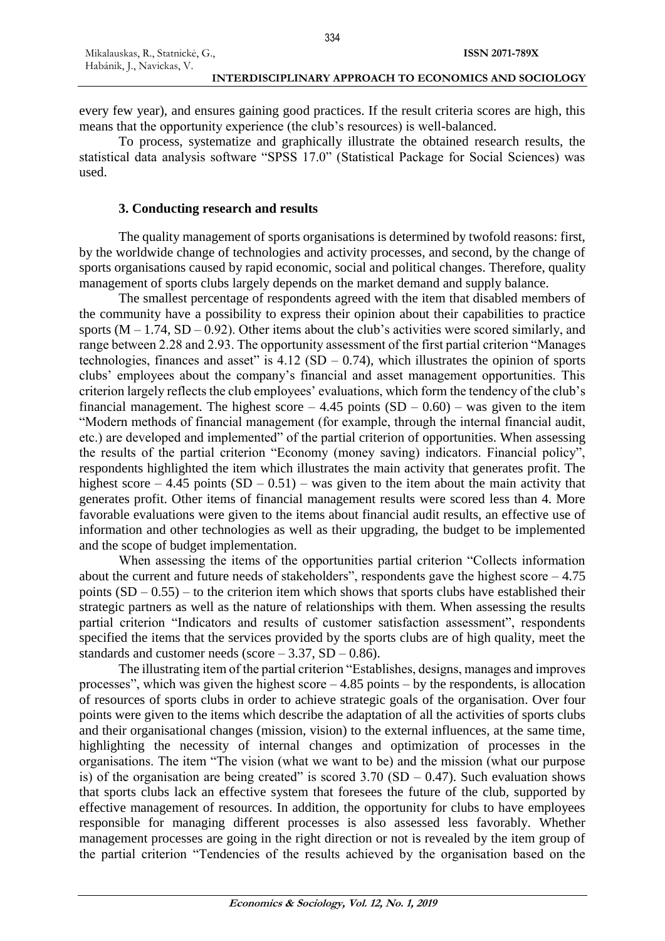every few year), and ensures gaining good practices. If the result criteria scores are high, this means that the opportunity experience (the club's resources) is well-balanced.

To process, systematize and graphically illustrate the obtained research results, the statistical data analysis software "SPSS 17.0" (Statistical Package for Social Sciences) was used.

# **3. Conducting research and results**

The quality management of sports organisations is determined by twofold reasons: first, by the worldwide change of technologies and activity processes, and second, by the change of sports organisations caused by rapid economic, social and political changes. Therefore, quality management of sports clubs largely depends on the market demand and supply balance.

The smallest percentage of respondents agreed with the item that disabled members of the community have a possibility to express their opinion about their capabilities to practice sports  $(M - 1.74, SD - 0.92)$ . Other items about the club's activities were scored similarly, and range between 2.28 and 2.93. The opportunity assessment of the first partial criterion "Manages technologies, finances and asset" is  $4.12$  (SD – 0.74), which illustrates the opinion of sports clubs' employees about the company's financial and asset management opportunities. This criterion largely reflects the club employees' evaluations, which form the tendency of the club's financial management. The highest score  $-4.45$  points  $(SD - 0.60)$  – was given to the item "Modern methods of financial management (for example, through the internal financial audit, etc.) are developed and implemented" of the partial criterion of opportunities. When assessing the results of the partial criterion "Economy (money saving) indicators. Financial policy", respondents highlighted the item which illustrates the main activity that generates profit. The highest score – 4.45 points  $(SD - 0.51)$  – was given to the item about the main activity that generates profit. Other items of financial management results were scored less than 4. More favorable evaluations were given to the items about financial audit results, an effective use of information and other technologies as well as their upgrading, the budget to be implemented and the scope of budget implementation.

When assessing the items of the opportunities partial criterion "Collects information about the current and future needs of stakeholders", respondents gave the highest score  $-4.75$ points  $(SD - 0.55)$  – to the criterion item which shows that sports clubs have established their strategic partners as well as the nature of relationships with them. When assessing the results partial criterion "Indicators and results of customer satisfaction assessment", respondents specified the items that the services provided by the sports clubs are of high quality, meet the standards and customer needs (score  $-3.37$ , SD  $-0.86$ ).

The illustrating item of the partial criterion "Establishes, designs, manages and improves processes", which was given the highest score – 4.85 points – by the respondents, is allocation of resources of sports clubs in order to achieve strategic goals of the organisation. Over four points were given to the items which describe the adaptation of all the activities of sports clubs and their organisational changes (mission, vision) to the external influences, at the same time, highlighting the necessity of internal changes and optimization of processes in the organisations. The item "The vision (what we want to be) and the mission (what our purpose is) of the organisation are being created" is scored  $3.70$  (SD – 0.47). Such evaluation shows that sports clubs lack an effective system that foresees the future of the club, supported by effective management of resources. In addition, the opportunity for clubs to have employees responsible for managing different processes is also assessed less favorably. Whether management processes are going in the right direction or not is revealed by the item group of the partial criterion "Tendencies of the results achieved by the organisation based on the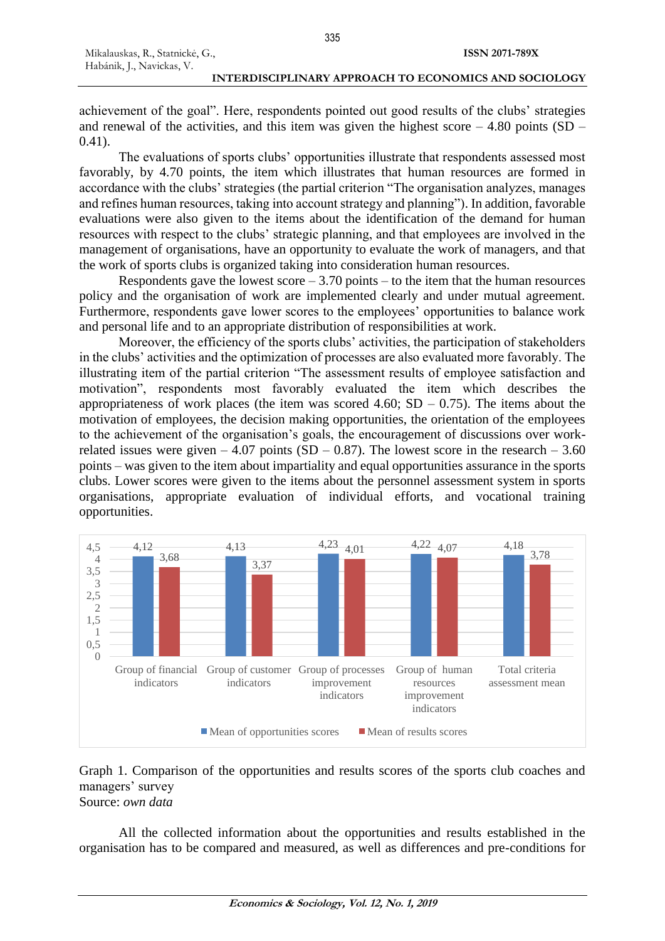#### **INTERDISCIPLINARY APPROACH TO ECONOMICS AND SOCIOLOGY**

achievement of the goal". Here, respondents pointed out good results of the clubs' strategies and renewal of the activities, and this item was given the highest score  $-4.80$  points (SD – 0.41).

The evaluations of sports clubs' opportunities illustrate that respondents assessed most favorably, by 4.70 points, the item which illustrates that human resources are formed in accordance with the clubs' strategies (the partial criterion "The organisation analyzes, manages and refines human resources, taking into account strategy and planning"). In addition, favorable evaluations were also given to the items about the identification of the demand for human resources with respect to the clubs' strategic planning, and that employees are involved in the management of organisations, have an opportunity to evaluate the work of managers, and that the work of sports clubs is organized taking into consideration human resources.

Respondents gave the lowest score  $-3.70$  points  $-$  to the item that the human resources policy and the organisation of work are implemented clearly and under mutual agreement. Furthermore, respondents gave lower scores to the employees' opportunities to balance work and personal life and to an appropriate distribution of responsibilities at work.

Moreover, the efficiency of the sports clubs' activities, the participation of stakeholders in the clubs' activities and the optimization of processes are also evaluated more favorably. The illustrating item of the partial criterion "The assessment results of employee satisfaction and motivation", respondents most favorably evaluated the item which describes the appropriateness of work places (the item was scored 4.60;  $SD - 0.75$ ). The items about the motivation of employees, the decision making opportunities, the orientation of the employees to the achievement of the organisation's goals, the encouragement of discussions over workrelated issues were given  $-4.07$  points (SD  $-0.87$ ). The lowest score in the research  $-3.60$ points – was given to the item about impartiality and equal opportunities assurance in the sports clubs. Lower scores were given to the items about the personnel assessment system in sports organisations, appropriate evaluation of individual efforts, and vocational training opportunities.



### Graph 1. Comparison of the opportunities and results scores of the sports club coaches and managers' survey Source: *own data*

All the collected information about the opportunities and results established in the organisation has to be compared and measured, as well as differences and pre-conditions for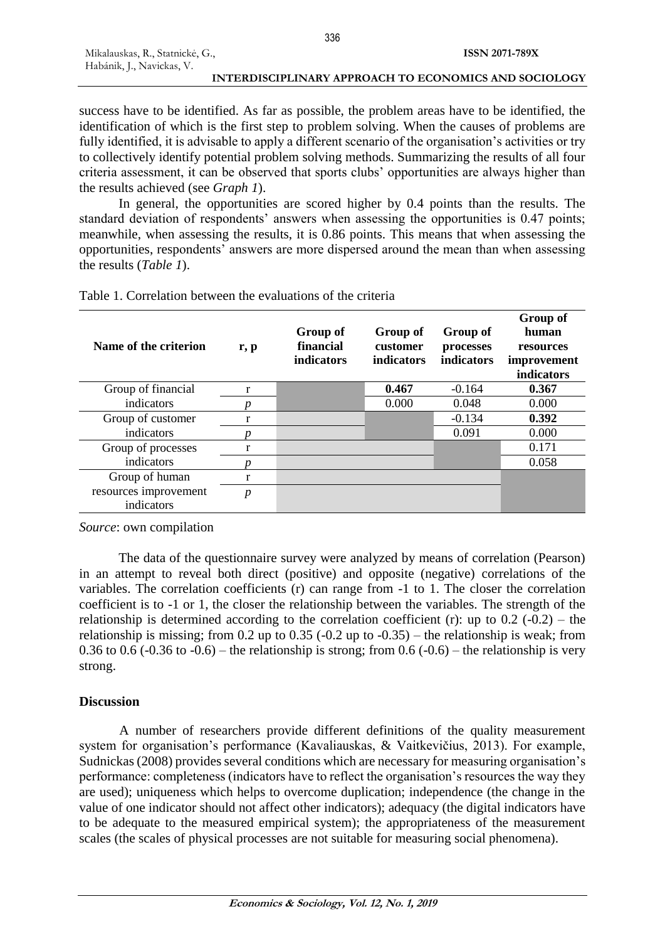success have to be identified. As far as possible, the problem areas have to be identified, the identification of which is the first step to problem solving. When the causes of problems are fully identified, it is advisable to apply a different scenario of the organisation's activities or try to collectively identify potential problem solving methods. Summarizing the results of all four criteria assessment, it can be observed that sports clubs' opportunities are always higher than the results achieved (see *Graph 1*).

In general, the opportunities are scored higher by 0.4 points than the results. The standard deviation of respondents' answers when assessing the opportunities is 0.47 points; meanwhile, when assessing the results, it is 0.86 points. This means that when assessing the opportunities, respondents' answers are more dispersed around the mean than when assessing the results (*Table 1*).

| Name of the criterion               | $\mathbf{r}, \mathbf{p}$ | Group of<br>financial<br>indicators | Group of<br>customer<br><i>indicators</i> | Group of<br>processes<br><b>indicators</b> | Group of<br>human<br>resources<br>improvement<br>indicators |
|-------------------------------------|--------------------------|-------------------------------------|-------------------------------------------|--------------------------------------------|-------------------------------------------------------------|
| Group of financial                  | r                        |                                     | 0.467                                     | $-0.164$                                   | 0.367                                                       |
| indicators                          |                          |                                     | 0.000                                     | 0.048                                      | 0.000                                                       |
| Group of customer                   | r                        |                                     |                                           | $-0.134$                                   | 0.392                                                       |
| indicators                          |                          |                                     |                                           | 0.091                                      | 0.000                                                       |
| Group of processes                  |                          |                                     |                                           |                                            | 0.171                                                       |
| indicators                          |                          |                                     |                                           |                                            | 0.058                                                       |
| Group of human                      | r                        |                                     |                                           |                                            |                                                             |
| resources improvement<br>indicators | $\boldsymbol{p}$         |                                     |                                           |                                            |                                                             |

Table 1. Correlation between the evaluations of the criteria

*Source*: own compilation

The data of the questionnaire survey were analyzed by means of correlation (Pearson) in an attempt to reveal both direct (positive) and opposite (negative) correlations of the variables. The correlation coefficients (r) can range from -1 to 1. The closer the correlation coefficient is to -1 or 1, the closer the relationship between the variables. The strength of the relationship is determined according to the correlation coefficient (r): up to  $0.2$  (- $0.2$ ) – the relationship is missing; from 0.2 up to 0.35 (-0.2 up to -0.35) – the relationship is weak; from 0.36 to 0.6 (-0.36 to -0.6) – the relationship is strong; from  $0.6$  (-0.6) – the relationship is very strong.

# **Discussion**

A number of researchers provide different definitions of the quality measurement system for organisation's performance (Kavaliauskas, & Vaitkevičius, 2013). For example, Sudnickas (2008) provides several conditions which are necessary for measuring organisation's performance: completeness (indicators have to reflect the organisation's resources the way they are used); uniqueness which helps to overcome duplication; independence (the change in the value of one indicator should not affect other indicators); adequacy (the digital indicators have to be adequate to the measured empirical system); the appropriateness of the measurement scales (the scales of physical processes are not suitable for measuring social phenomena).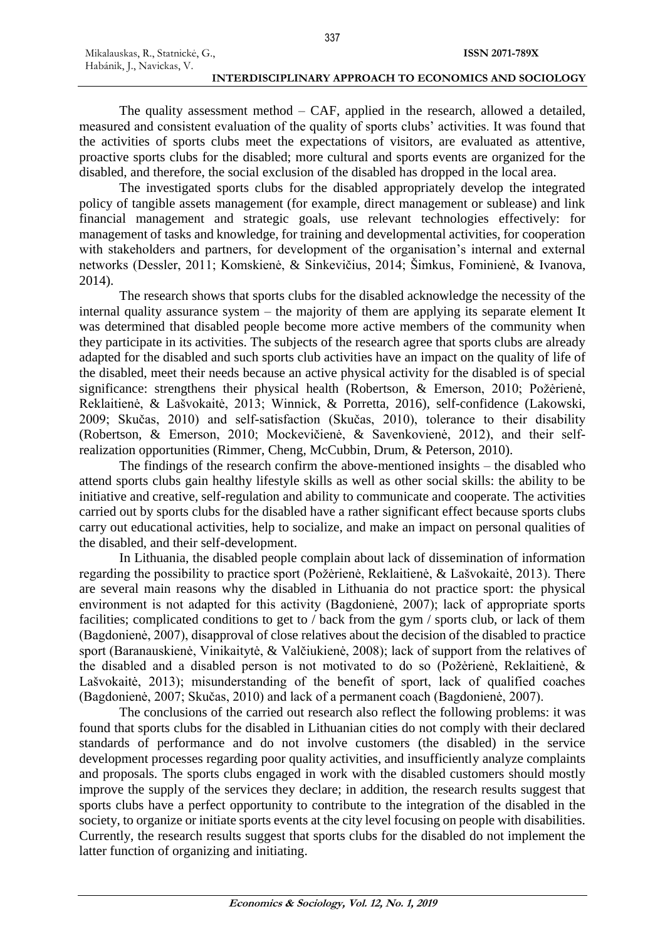#### **INTERDISCIPLINARY APPROACH TO ECONOMICS AND SOCIOLOGY**

The quality assessment method – CAF, applied in the research, allowed a detailed, measured and consistent evaluation of the quality of sports clubs' activities. It was found that the activities of sports clubs meet the expectations of visitors, are evaluated as attentive, proactive sports clubs for the disabled; more cultural and sports events are organized for the disabled, and therefore, the social exclusion of the disabled has dropped in the local area.

The investigated sports clubs for the disabled appropriately develop the integrated policy of tangible assets management (for example, direct management or sublease) and link financial management and strategic goals, use relevant technologies effectively: for management of tasks and knowledge, for training and developmental activities, for cooperation with stakeholders and partners, for development of the organisation's internal and external networks (Dessler, 2011; Komskienė, & Sinkevičius, 2014; Šimkus, Fominienė, & Ivanova, 2014).

The research shows that sports clubs for the disabled acknowledge the necessity of the internal quality assurance system – the majority of them are applying its separate element It was determined that disabled people become more active members of the community when they participate in its activities. The subjects of the research agree that sports clubs are already adapted for the disabled and such sports club activities have an impact on the quality of life of the disabled, meet their needs because an active physical activity for the disabled is of special significance: strengthens their physical health (Robertson, & Emerson, 2010; Požėrienė, Reklaitienė, & Lašvokaitė, 2013; Winnick, & Porretta, 2016), self-confidence (Lakowski, 2009; Skučas, 2010) and self-satisfaction (Skučas, 2010), tolerance to their disability (Robertson, & Emerson, 2010; Mockevičienė, & Savenkovienė, 2012), and their selfrealization opportunities (Rimmer, Cheng, McCubbin, Drum, & Peterson, 2010).

The findings of the research confirm the above-mentioned insights – the disabled who attend sports clubs gain healthy lifestyle skills as well as other social skills: the ability to be initiative and creative, self-regulation and ability to communicate and cooperate. The activities carried out by sports clubs for the disabled have a rather significant effect because sports clubs carry out educational activities, help to socialize, and make an impact on personal qualities of the disabled, and their self-development.

In Lithuania, the disabled people complain about lack of dissemination of information regarding the possibility to practice sport (Požėrienė, Reklaitienė, & Lašvokaitė, 2013). There are several main reasons why the disabled in Lithuania do not practice sport: the physical environment is not adapted for this activity (Bagdonienė, 2007); lack of appropriate sports facilities; complicated conditions to get to / back from the gym / sports club, or lack of them (Bagdonienė, 2007), disapproval of close relatives about the decision of the disabled to practice sport (Baranauskienė, Vinikaitytė, & Valčiukienė, 2008); lack of support from the relatives of the disabled and a disabled person is not motivated to do so (Požėrienė, Reklaitienė, & Lašvokaitė, 2013); misunderstanding of the benefit of sport, lack of qualified coaches (Bagdonienė, 2007; Skučas, 2010) and lack of a permanent coach (Bagdonienė, 2007).

The conclusions of the carried out research also reflect the following problems: it was found that sports clubs for the disabled in Lithuanian cities do not comply with their declared standards of performance and do not involve customers (the disabled) in the service development processes regarding poor quality activities, and insufficiently analyze complaints and proposals. The sports clubs engaged in work with the disabled customers should mostly improve the supply of the services they declare; in addition, the research results suggest that sports clubs have a perfect opportunity to contribute to the integration of the disabled in the society, to organize or initiate sports events at the city level focusing on people with disabilities. Currently, the research results suggest that sports clubs for the disabled do not implement the latter function of organizing and initiating.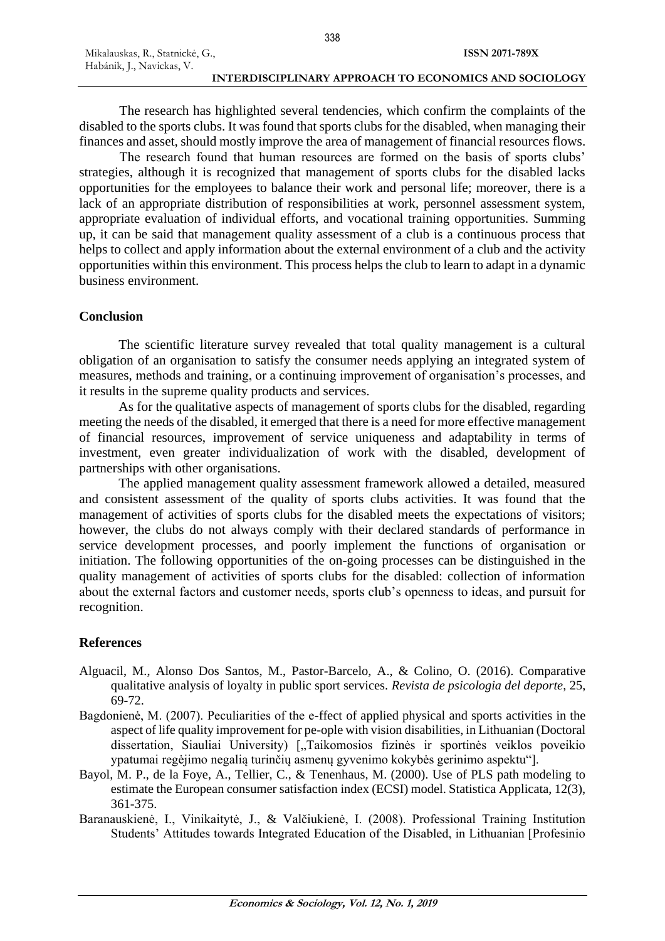338

The research has highlighted several tendencies, which confirm the complaints of the disabled to the sports clubs. It was found that sports clubs for the disabled, when managing their finances and asset, should mostly improve the area of management of financial resources flows.

The research found that human resources are formed on the basis of sports clubs' strategies, although it is recognized that management of sports clubs for the disabled lacks opportunities for the employees to balance their work and personal life; moreover, there is a lack of an appropriate distribution of responsibilities at work, personnel assessment system, appropriate evaluation of individual efforts, and vocational training opportunities. Summing up, it can be said that management quality assessment of a club is a continuous process that helps to collect and apply information about the external environment of a club and the activity opportunities within this environment. This process helps the club to learn to adapt in a dynamic business environment.

# **Conclusion**

The scientific literature survey revealed that total quality management is a cultural obligation of an organisation to satisfy the consumer needs applying an integrated system of measures, methods and training, or a continuing improvement of organisation's processes, and it results in the supreme quality products and services.

As for the qualitative aspects of management of sports clubs for the disabled, regarding meeting the needs of the disabled, it emerged that there is a need for more effective management of financial resources, improvement of service uniqueness and adaptability in terms of investment, even greater individualization of work with the disabled, development of partnerships with other organisations.

The applied management quality assessment framework allowed a detailed, measured and consistent assessment of the quality of sports clubs activities. It was found that the management of activities of sports clubs for the disabled meets the expectations of visitors; however, the clubs do not always comply with their declared standards of performance in service development processes, and poorly implement the functions of organisation or initiation. The following opportunities of the on-going processes can be distinguished in the quality management of activities of sports clubs for the disabled: collection of information about the external factors and customer needs, sports club's openness to ideas, and pursuit for recognition.

# **References**

- Alguacil, M., Alonso Dos Santos, M., Pastor-Barcelo, A., & Colino, O. (2016). Comparative qualitative analysis of loyalty in public sport services. *Revista de psicologia del deporte*, 25, 69-72.
- Bagdonienė, M. (2007). Peculiarities of the e-ffect of applied physical and sports activities in the aspect of life quality improvement for pe-ople with vision disabilities, in Lithuanian (Doctoral dissertation, Siauliai University) ["Taikomosios fizinės ir sportinės veiklos poveikio ypatumai regėjimo negalią turinčių asmenų gyvenimo kokybės gerinimo aspektu"].
- Bayol, M. P., de la Foye, A., Tellier, C., & Tenenhaus, M. (2000). Use of PLS path modeling to estimate the European consumer satisfaction index (ECSI) model. Statistica Applicata, 12(3), 361-375.
- Baranauskienė, I., Vinikaitytė, J., & Valčiukienė, I. (2008). Professional Training Institution Students' Attitudes towards Integrated Education of the Disabled, in Lithuanian [Profesinio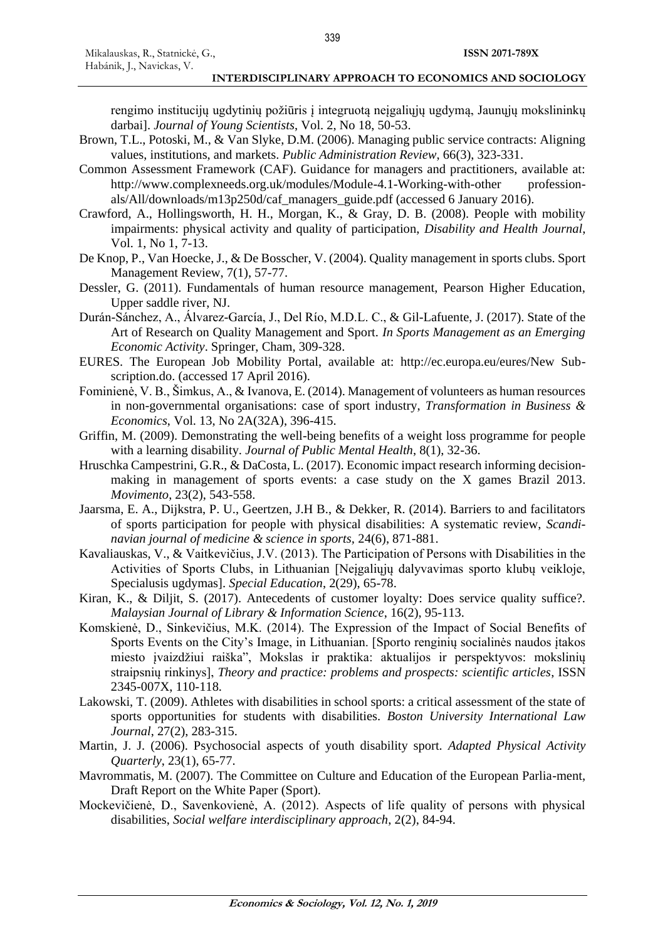rengimo institucijų ugdytinių požiūris į integruotą neįgaliųjų ugdymą, Jaunųjų mokslininkų darbai]. *Journal of Young Scientists*, Vol. 2, No 18, 50-53.

- Brown, T.L., Potoski, M., & Van Slyke, D.M. (2006). Managing public service contracts: Aligning values, institutions, and markets. *Public Administration Review*, 66(3), 323-331.
- Common Assessment Framework (CAF). Guidance for managers and practitioners, available at: http://www.complexneeds.org.uk/modules/Module-4.1-Working-with-other professionals/All/downloads/m13p250d/caf\_managers\_guide.pdf (accessed 6 January 2016).
- Crawford, A., Hollingsworth, H. H., Morgan, K., & Gray, D. B. (2008). People with mobility impairments: physical activity and quality of participation, *Disability and Health Journal*, Vol. 1, No 1, 7-13.
- De Knop, P., Van Hoecke, J., & De Bosscher, V. (2004). Quality management in sports clubs. Sport Management Review, 7(1), 57-77.
- Dessler, G. (2011). Fundamentals of human resource management, Pearson Higher Education, Upper saddle river, NJ.
- Durán-Sánchez, A., Álvarez-García, J., Del Río, M.D.L. C., & Gil-Lafuente, J. (2017). State of the Art of Research on Quality Management and Sport. *In Sports Management as an Emerging Economic Activity*. Springer, Cham, 309-328.
- EURES. The European Job Mobility Portal, available at: http://ec.europa.eu/eures/New Subscription.do. (accessed 17 April 2016).
- Fominienė, V. B., Šimkus, A., & Ivanova, E. (2014). Management of volunteers as human resources in non-governmental organisations: case of sport industry, *Transformation in Business & Economics*, Vol. 13, No 2A(32A), 396-415.
- Griffin, M. (2009). Demonstrating the well-being benefits of a weight loss programme for people with a learning disability. *Journal of Public Mental Health*, 8(1), 32-36.
- Hruschka Campestrini, G.R., & DaCosta, L. (2017). Economic impact research informing decisionmaking in management of sports events: a case study on the X games Brazil 2013. *Movimento*, 23(2), 543-558.
- Jaarsma, E. A., Dijkstra, P. U., Geertzen, J.H B., & Dekker, R. (2014). Barriers to and facilitators of sports participation for people with physical disabilities: A systematic review, *Scandinavian journal of medicine & science in sports,* 24(6), 871-881.
- Kavaliauskas, V., & Vaitkevičius, J.V. (2013). The Participation of Persons with Disabilities in the Activities of Sports Clubs, in Lithuanian [Neįgaliųjų dalyvavimas sporto klubų veikloje, Specialusis ugdymas]. *Special Education*, 2(29), 65-78.
- Kiran, K., & Diljit, S. (2017). Antecedents of customer loyalty: Does service quality suffice?. *Malaysian Journal of Library & Information Science*, 16(2), 95-113.
- Komskienė, D., Sinkevičius, M.K. (2014). The Expression of the Impact of Social Benefits of Sports Events on the City's Image, in Lithuanian. [Sporto renginių socialinės naudos įtakos miesto įvaizdžiui raiška", Mokslas ir praktika: aktualijos ir perspektyvos: mokslinių straipsnių rinkinys], *Theory and practice: problems and prospects: scientific articles*, ISSN 2345-007X, 110-118.
- Lakowski, T. (2009). Athletes with disabilities in school sports: a critical assessment of the state of sports opportunities for students with disabilities. *Boston University International Law Journal*, 27(2), 283-315.
- Martin, J. J. (2006). Psychosocial aspects of youth disability sport. *Adapted Physical Activity Quarterly*, 23(1), 65-77.
- Mavrommatis, M. (2007). The Committee on Culture and Education of the European Parlia-ment, Draft Report on the White Paper (Sport).
- Mockevičienė, D., Savenkovienė, A. (2012). Aspects of life quality of persons with physical disabilities, *Social welfare interdisciplinary approach*, 2(2), 84-94.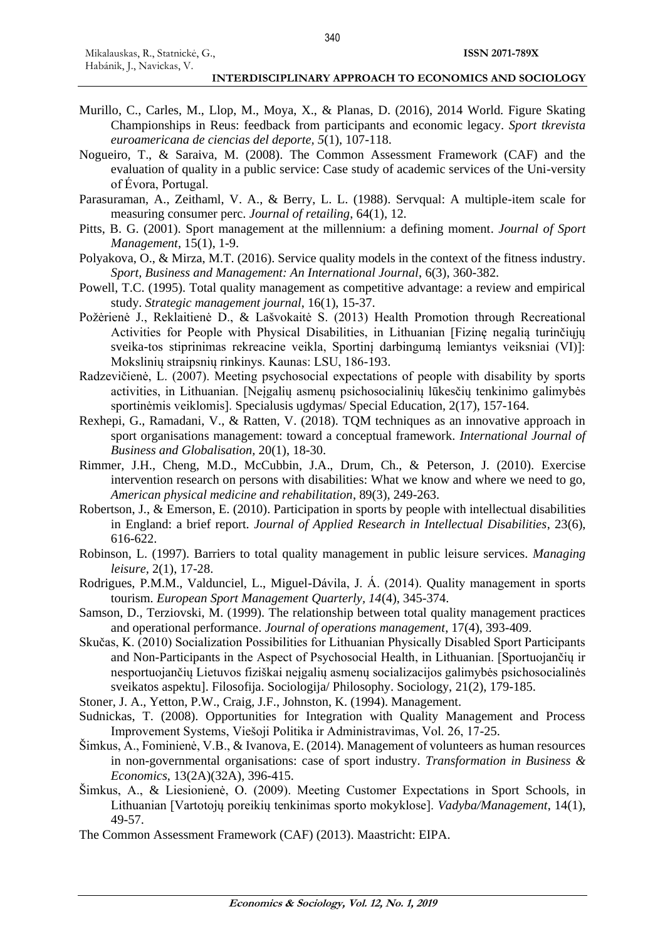- Murillo, C., Carles, M., Llop, M., Moya, X., & Planas, D. (2016), 2014 World. Figure Skating Championships in Reus: feedback from participants and economic legacy. *Sport tkrevista euroamericana de ciencias del deporte, 5*(1), 107-118.
- Nogueiro, T., & Saraiva, M. (2008). The Common Assessment Framework (CAF) and the evaluation of quality in a public service: Case study of academic services of the Uni-versity of Évora, Portugal.
- Parasuraman, A., Zeithaml, V. A., & Berry, L. L. (1988). Servqual: A multiple-item scale for measuring consumer perc. *Journal of retailing*, 64(1), 12.
- Pitts, B. G. (2001). Sport management at the millennium: a defining moment. *Journal of Sport Management*, 15(1), 1-9.
- Polyakova, O., & Mirza, M.T. (2016). Service quality models in the context of the fitness industry. *Sport, Business and Management: An International Journal*, 6(3), 360-382.
- Powell, T.C. (1995). Total quality management as competitive advantage: a review and empirical study. *Strategic management journal*, 16(1), 15-37.
- Požėrienė J., Reklaitienė D., & Lašvokaitė S. (2013) Health Promotion through Recreational Activities for People with Physical Disabilities, in Lithuanian [Fizinę negalią turinčiųjų sveika-tos stiprinimas rekreacine veikla, Sportinį darbingumą lemiantys veiksniai (VI)]: Mokslinių straipsnių rinkinys. Kaunas: LSU, 186-193.
- Radzevičienė, L. (2007). Meeting psychosocial expectations of people with disability by sports activities, in Lithuanian. [Neįgalių asmenų psichosocialinių lūkesčių tenkinimo galimybės sportinėmis veiklomis]. Specialusis ugdymas/ Special Education, 2(17), 157-164.
- Rexhepi, G., Ramadani, V., & Ratten, V. (2018). TQM techniques as an innovative approach in sport organisations management: toward a conceptual framework. *International Journal of Business and Globalisation,* 20(1), 18-30.
- Rimmer, J.H., Cheng, M.D., McCubbin, J.A., Drum, Ch., & Peterson, J. (2010). Exercise intervention research on persons with disabilities: What we know and where we need to go, *American physical medicine and rehabilitation*, 89(3), 249-263.
- Robertson, J., & Emerson, E. (2010). Participation in sports by people with intellectual disabilities in England: a brief report. *Journal of Applied Research in Intellectual Disabilities*, 23(6), 616-622.
- Robinson, L. (1997). Barriers to total quality management in public leisure services. *Managing leisure,* 2(1), 17-28.
- Rodrigues, P.M.M., Valdunciel, L., Miguel-Dávila, J. Á. (2014). Quality management in sports tourism. *European Sport Management Quarterly, 14*(4), 345-374.
- Samson, D., Terziovski, M. (1999). The relationship between total quality management practices and operational performance. *Journal of operations management*, 17(4), 393-409.
- Skučas, K. (2010) Socialization Possibilities for Lithuanian Physically Disabled Sport Participants and Non-Participants in the Aspect of Psychosocial Health, in Lithuanian. [Sportuojančių ir nesportuojančių Lietuvos fiziškai neįgalių asmenų socializacijos galimybės psichosocialinės sveikatos aspektu]. Filosofija. Sociologija/ Philosophy. Sociology, 21(2), 179-185.
- Stoner, J. A., Yetton, P.W., Craig, J.F., Johnston, K. (1994). Management.
- Sudnickas, T. (2008). Opportunities for Integration with Quality Management and Process Improvement Systems, Viešoji Politika ir Administravimas, Vol. 26, 17-25.
- Šimkus, A., Fominienė, V.B., & Ivanova, E. (2014). Management of volunteers as human resources in non-governmental organisations: case of sport industry. *Transformation in Business & Economics*, 13(2A)(32A), 396-415.
- Šimkus, A., & Liesionienė, O. (2009). Meeting Customer Expectations in Sport Schools, in Lithuanian [Vartotojų poreikių tenkinimas sporto mokyklose]. *Vadyba/Management*, 14(1), 49-57.
- The Common Assessment Framework (CAF) (2013). Maastricht: EIPA.